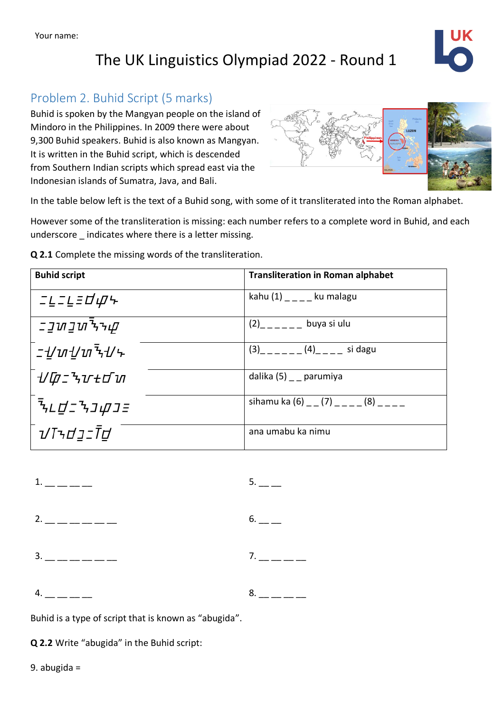# The UK Linguistics Olympiad 2022 - Round 1



### Problem 2. Buhid Script (5 marks)

Buhid is spoken by the Mangyan people on the island of Mindoro in the Philippines. In 2009 there were about 9,300 Buhid speakers. Buhid is also known as Mangyan. It is written in the Buhid script, which is descended from Southern Indian scripts which spread east via the Indonesian islands of Sumatra, Java, and Bali.



In the table below left is the text of a Buhid song, with some of it transliterated into the Roman alphabet.

However some of the transliteration is missing: each number refers to a complete word in Buhid, and each underscore \_ indicates where there is a letter missing.

**Q 2.1** Complete the missing words of the transliteration.

| <b>Buhid script</b>                                 | <b>Transliteration in Roman alphabet</b>   |
|-----------------------------------------------------|--------------------------------------------|
| <i>ニĿニĿ</i> ゠d <i>w</i> ヶ                           | kahu $(1)$ _ _ _ ku malagu                 |
| ב <u>י</u> של <i>ב</i> שב־                          | $(2)$ <sub>_____</sub> _<br>buya si ulu    |
| <i>ニ᠊∐</i> ຑ᠊॒ <i>∐</i> ຑ <sup>ร</sup> <sup>↓</sup> | $(3)$ <sub>_____</sub> _(4)____ si dagu    |
| <i>᠊ႮҨェ</i> * v+d ๋ ゕ                               | dalika (5) parumiya                        |
| <i>゙<sup>ร</sup>ุเ∐่_ำงบุบร</i>                     | sihamu ka (6) $_-(7)$ $_{---}(8)$ $_{---}$ |
| <i>ปโรdวะโd</i>                                     | ana umabu ka nimu                          |

| $1.$ — — — — —     | $5.$ __ _     |
|--------------------|---------------|
| $2.$ __ _ _ _ _ _  | $6.$ — —      |
| $3.$ — — — — — — — | $7.$ __ __ __ |
| $4.$ __ _ _ _ _    | $8. - - - -$  |

Buhid is a type of script that is known as "abugida".

**Q 2.2** Write "abugida" in the Buhid script: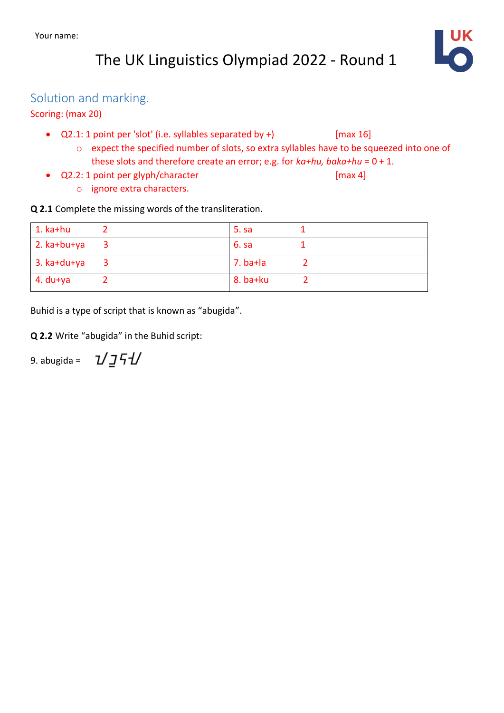# The UK Linguistics Olympiad 2022 - Round 1



#### Solution and marking.

#### Scoring: (max 20)

- Q2.1: 1 point per 'slot' (i.e. syllables separated by +) [max 16]
	- o expect the specified number of slots, so extra syllables have to be squeezed into one of these slots and therefore create an error; e.g. for *ka+hu, baka+hu* = 0 + 1.
- Q2.2: 1 point per glyph/character [max 4] o ignore extra characters.

**Q 2.1** Complete the missing words of the transliteration.

| $1.$ ka+hu          | 5. s       |  |
|---------------------|------------|--|
| $\vert$ 2. ka+bu+ya | 6. sa      |  |
| $3. k$ a+du+ya      | $7.$ ba+la |  |
| $4.$ du+ya          | $8.$ ba+ku |  |

Buhid is a type of script that is known as "abugida".

**Q 2.2** Write "abugida" in the Buhid script:

*ปวรป* 9. abugida =